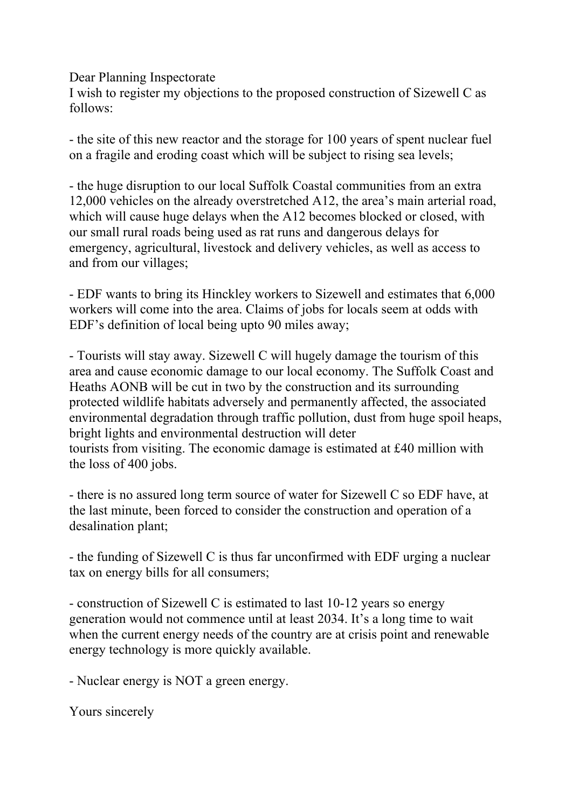Dear Planning Inspectorate

I wish to register my objections to the proposed construction of Sizewell C as follows:

- the site of this new reactor and the storage for 100 years of spent nuclear fuel on a fragile and eroding coast which will be subject to rising sea levels;

- the huge disruption to our local Suffolk Coastal communities from an extra 12,000 vehicles on the already overstretched A12, the area's main arterial road, which will cause huge delays when the A12 becomes blocked or closed, with our small rural roads being used as rat runs and dangerous delays for emergency, agricultural, livestock and delivery vehicles, as well as access to and from our villages;

- EDF wants to bring its Hinckley workers to Sizewell and estimates that 6,000 workers will come into the area. Claims of jobs for locals seem at odds with EDF's definition of local being upto 90 miles away;

- Tourists will stay away. Sizewell C will hugely damage the tourism of this area and cause economic damage to our local economy. The Suffolk Coast and Heaths AONB will be cut in two by the construction and its surrounding protected wildlife habitats adversely and permanently affected, the associated environmental degradation through traffic pollution, dust from huge spoil heaps, bright lights and environmental destruction will deter tourists from visiting. The economic damage is estimated at £40 million with the loss of 400 jobs.

- there is no assured long term source of water for Sizewell C so EDF have, at the last minute, been forced to consider the construction and operation of a desalination plant;

- the funding of Sizewell C is thus far unconfirmed with EDF urging a nuclear tax on energy bills for all consumers;

- construction of Sizewell C is estimated to last 10-12 years so energy generation would not commence until at least 2034. It's a long time to wait when the current energy needs of the country are at crisis point and renewable energy technology is more quickly available.

- Nuclear energy is NOT a green energy.

Yours sincerely